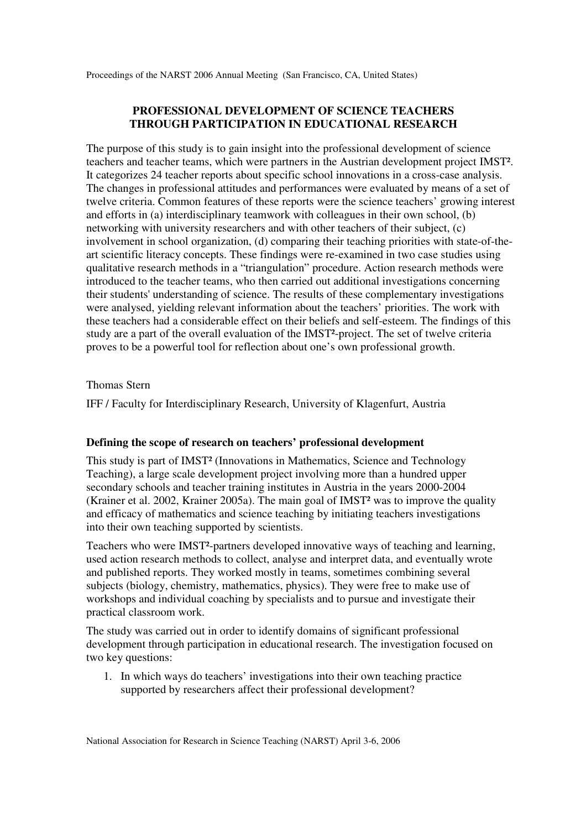## **PROFESSIONAL DEVELOPMENT OF SCIENCE TEACHERS THROUGH PARTICIPATION IN EDUCATIONAL RESEARCH**

The purpose of this study is to gain insight into the professional development of science teachers and teacher teams, which were partners in the Austrian development project IMST². It categorizes 24 teacher reports about specific school innovations in a cross-case analysis. The changes in professional attitudes and performances were evaluated by means of a set of twelve criteria. Common features of these reports were the science teachers' growing interest and efforts in (a) interdisciplinary teamwork with colleagues in their own school, (b) networking with university researchers and with other teachers of their subject, (c) involvement in school organization, (d) comparing their teaching priorities with state-of-theart scientific literacy concepts. These findings were re-examined in two case studies using qualitative research methods in a "triangulation" procedure. Action research methods were introduced to the teacher teams, who then carried out additional investigations concerning their students' understanding of science. The results of these complementary investigations were analysed, yielding relevant information about the teachers' priorities. The work with these teachers had a considerable effect on their beliefs and self-esteem. The findings of this study are a part of the overall evaluation of the IMST²-project. The set of twelve criteria proves to be a powerful tool for reflection about one's own professional growth.

## Thomas Stern

IFF / Faculty for Interdisciplinary Research, University of Klagenfurt, Austria

## **Defining the scope of research on teachers' professional development**

This study is part of IMST² (Innovations in Mathematics, Science and Technology Teaching), a large scale development project involving more than a hundred upper secondary schools and teacher training institutes in Austria in the years 2000-2004 (Krainer et al. 2002, Krainer 2005a). The main goal of IMST² was to improve the quality and efficacy of mathematics and science teaching by initiating teachers investigations into their own teaching supported by scientists.

Teachers who were IMST²-partners developed innovative ways of teaching and learning, used action research methods to collect, analyse and interpret data, and eventually wrote and published reports. They worked mostly in teams, sometimes combining several subjects (biology, chemistry, mathematics, physics). They were free to make use of workshops and individual coaching by specialists and to pursue and investigate their practical classroom work.

The study was carried out in order to identify domains of significant professional development through participation in educational research. The investigation focused on two key questions:

1. In which ways do teachers' investigations into their own teaching practice supported by researchers affect their professional development?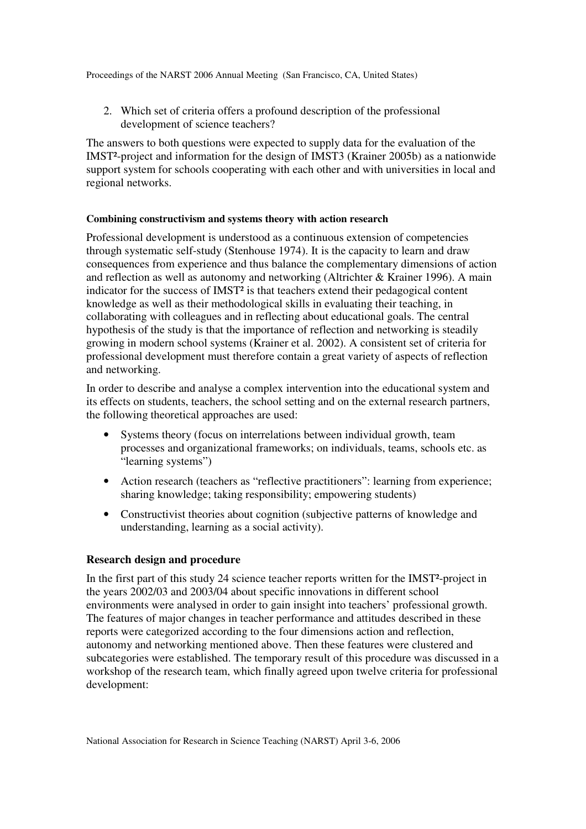2. Which set of criteria offers a profound description of the professional development of science teachers?

The answers to both questions were expected to supply data for the evaluation of the IMST²-project and information for the design of IMST3 (Krainer 2005b) as a nationwide support system for schools cooperating with each other and with universities in local and regional networks.

## **Combining constructivism and systems theory with action research**

Professional development is understood as a continuous extension of competencies through systematic self-study (Stenhouse 1974). It is the capacity to learn and draw consequences from experience and thus balance the complementary dimensions of action and reflection as well as autonomy and networking (Altrichter & Krainer 1996). A main indicator for the success of IMST² is that teachers extend their pedagogical content knowledge as well as their methodological skills in evaluating their teaching, in collaborating with colleagues and in reflecting about educational goals. The central hypothesis of the study is that the importance of reflection and networking is steadily growing in modern school systems (Krainer et al. 2002). A consistent set of criteria for professional development must therefore contain a great variety of aspects of reflection and networking.

In order to describe and analyse a complex intervention into the educational system and its effects on students, teachers, the school setting and on the external research partners, the following theoretical approaches are used:

- Systems theory (focus on interrelations between individual growth, team processes and organizational frameworks; on individuals, teams, schools etc. as "learning systems")
- Action research (teachers as "reflective practitioners": learning from experience; sharing knowledge; taking responsibility; empowering students)
- Constructivist theories about cognition (subjective patterns of knowledge and understanding, learning as a social activity).

## **Research design and procedure**

In the first part of this study 24 science teacher reports written for the IMST<sup>2</sup>-project in the years 2002/03 and 2003/04 about specific innovations in different school environments were analysed in order to gain insight into teachers' professional growth. The features of major changes in teacher performance and attitudes described in these reports were categorized according to the four dimensions action and reflection, autonomy and networking mentioned above. Then these features were clustered and subcategories were established. The temporary result of this procedure was discussed in a workshop of the research team, which finally agreed upon twelve criteria for professional development: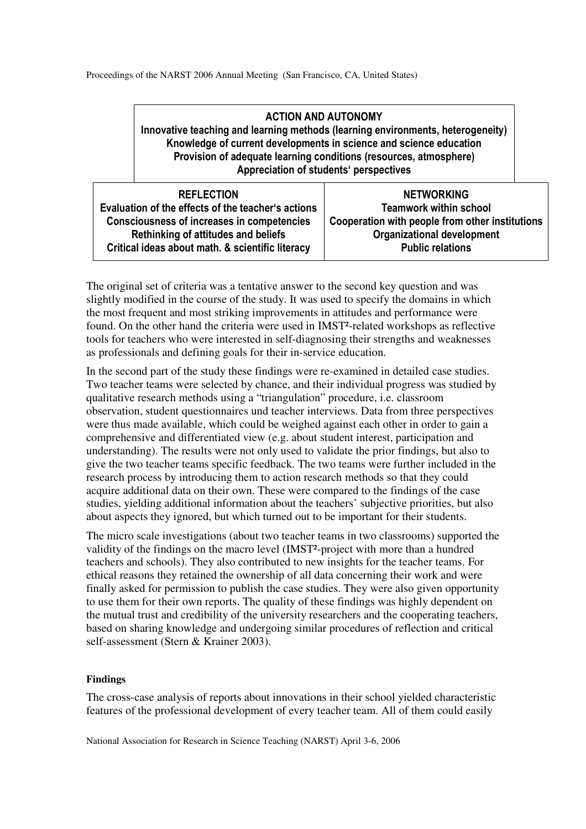# ACTION AND AUTONOMY Innovative teaching and learning methods (learning environments, heterogeneity) Knowledge of current developments in science and science education Provision of adequate learning conditions (resources, atmosphere) Appreciation of students' perspectives

| <b>REFLECTION</b>                                                                                       | <b>NETWORKING</b><br><b>Teamwork within school</b>           |
|---------------------------------------------------------------------------------------------------------|--------------------------------------------------------------|
| Evaluation of the effects of the teacher's actions<br><b>Consciousness of increases in competencies</b> | Cooperation with people from other institutions              |
| <b>Rethinking of attitudes and beliefs</b><br>Critical ideas about math. & scientific literacy          | <b>Organizational development</b><br><b>Public relations</b> |

The original set of criteria was a tentative answer to the second key question and was slightly modified in the course of the study. It was used to specify the domains in which the most frequent and most striking improvements in attitudes and performance were found. On the other hand the criteria were used in IMST²-related workshops as reflective tools for teachers who were interested in self-diagnosing their strengths and weaknesses as professionals and defining goals for their in-service education.

In the second part of the study these findings were re-examined in detailed case studies. Two teacher teams were selected by chance, and their individual progress was studied by qualitative research methods using a "triangulation" procedure, i.e. classroom observation, student questionnaires und teacher interviews. Data from three perspectives were thus made available, which could be weighed against each other in order to gain a comprehensive and differentiated view (e.g. about student interest, participation and understanding). The results were not only used to validate the prior findings, but also to give the two teacher teams specific feedback. The two teams were further included in the research process by introducing them to action research methods so that they could acquire additional data on their own. These were compared to the findings of the case studies, yielding additional information about the teachers' subjective priorities, but also about aspects they ignored, but which turned out to be important for their students.

The micro scale investigations (about two teacher teams in two classrooms) supported the validity of the findings on the macro level (IMST²-project with more than a hundred teachers and schools). They also contributed to new insights for the teacher teams. For ethical reasons they retained the ownership of all data concerning their work and were finally asked for permission to publish the case studies. They were also given opportunity to use them for their own reports. The quality of these findings was highly dependent on the mutual trust and credibility of the university researchers and the cooperating teachers, based on sharing knowledge and undergoing similar procedures of reflection and critical self-assessment (Stern & Krainer 2003).

## **Findings**

The cross-case analysis of reports about innovations in their school yielded characteristic features of the professional development of every teacher team. All of them could easily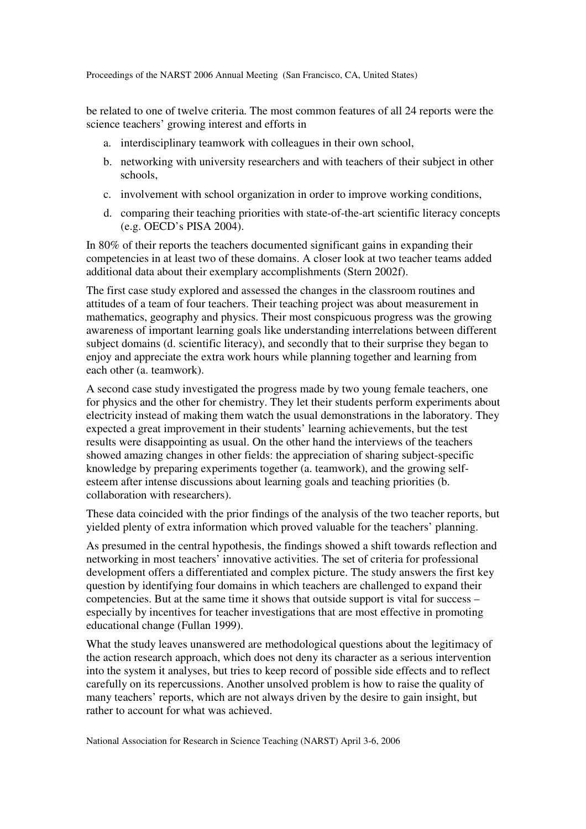be related to one of twelve criteria. The most common features of all 24 reports were the science teachers' growing interest and efforts in

- a. interdisciplinary teamwork with colleagues in their own school,
- b. networking with university researchers and with teachers of their subject in other schools,
- c. involvement with school organization in order to improve working conditions,
- d. comparing their teaching priorities with state-of-the-art scientific literacy concepts (e.g. OECD's PISA 2004).

In 80% of their reports the teachers documented significant gains in expanding their competencies in at least two of these domains. A closer look at two teacher teams added additional data about their exemplary accomplishments (Stern 2002f).

The first case study explored and assessed the changes in the classroom routines and attitudes of a team of four teachers. Their teaching project was about measurement in mathematics, geography and physics. Their most conspicuous progress was the growing awareness of important learning goals like understanding interrelations between different subject domains (d. scientific literacy), and secondly that to their surprise they began to enjoy and appreciate the extra work hours while planning together and learning from each other (a. teamwork).

A second case study investigated the progress made by two young female teachers, one for physics and the other for chemistry. They let their students perform experiments about electricity instead of making them watch the usual demonstrations in the laboratory. They expected a great improvement in their students' learning achievements, but the test results were disappointing as usual. On the other hand the interviews of the teachers showed amazing changes in other fields: the appreciation of sharing subject-specific knowledge by preparing experiments together (a. teamwork), and the growing selfesteem after intense discussions about learning goals and teaching priorities (b. collaboration with researchers).

These data coincided with the prior findings of the analysis of the two teacher reports, but yielded plenty of extra information which proved valuable for the teachers' planning.

As presumed in the central hypothesis, the findings showed a shift towards reflection and networking in most teachers' innovative activities. The set of criteria for professional development offers a differentiated and complex picture. The study answers the first key question by identifying four domains in which teachers are challenged to expand their competencies. But at the same time it shows that outside support is vital for success – especially by incentives for teacher investigations that are most effective in promoting educational change (Fullan 1999).

What the study leaves unanswered are methodological questions about the legitimacy of the action research approach, which does not deny its character as a serious intervention into the system it analyses, but tries to keep record of possible side effects and to reflect carefully on its repercussions. Another unsolved problem is how to raise the quality of many teachers' reports, which are not always driven by the desire to gain insight, but rather to account for what was achieved.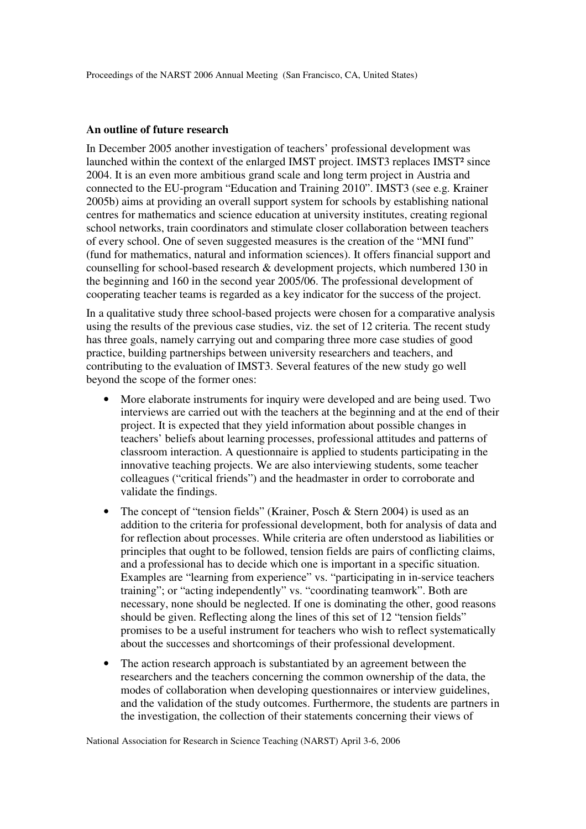#### **An outline of future research**

In December 2005 another investigation of teachers' professional development was launched within the context of the enlarged IMST project. IMST3 replaces IMST² since 2004. It is an even more ambitious grand scale and long term project in Austria and connected to the EU-program "Education and Training 2010". IMST3 (see e.g. Krainer 2005b) aims at providing an overall support system for schools by establishing national centres for mathematics and science education at university institutes, creating regional school networks, train coordinators and stimulate closer collaboration between teachers of every school. One of seven suggested measures is the creation of the "MNI fund" (fund for mathematics, natural and information sciences). It offers financial support and counselling for school-based research & development projects, which numbered 130 in the beginning and 160 in the second year 2005/06. The professional development of cooperating teacher teams is regarded as a key indicator for the success of the project.

In a qualitative study three school-based projects were chosen for a comparative analysis using the results of the previous case studies, viz. the set of 12 criteria. The recent study has three goals, namely carrying out and comparing three more case studies of good practice, building partnerships between university researchers and teachers, and contributing to the evaluation of IMST3. Several features of the new study go well beyond the scope of the former ones:

- More elaborate instruments for inquiry were developed and are being used. Two interviews are carried out with the teachers at the beginning and at the end of their project. It is expected that they yield information about possible changes in teachers' beliefs about learning processes, professional attitudes and patterns of classroom interaction. A questionnaire is applied to students participating in the innovative teaching projects. We are also interviewing students, some teacher colleagues ("critical friends") and the headmaster in order to corroborate and validate the findings.
- The concept of "tension fields" (Krainer, Posch & Stern 2004) is used as an addition to the criteria for professional development, both for analysis of data and for reflection about processes. While criteria are often understood as liabilities or principles that ought to be followed, tension fields are pairs of conflicting claims, and a professional has to decide which one is important in a specific situation. Examples are "learning from experience" vs. "participating in in-service teachers training"; or "acting independently" vs. "coordinating teamwork". Both are necessary, none should be neglected. If one is dominating the other, good reasons should be given. Reflecting along the lines of this set of 12 "tension fields" promises to be a useful instrument for teachers who wish to reflect systematically about the successes and shortcomings of their professional development.
- The action research approach is substantiated by an agreement between the researchers and the teachers concerning the common ownership of the data, the modes of collaboration when developing questionnaires or interview guidelines, and the validation of the study outcomes. Furthermore, the students are partners in the investigation, the collection of their statements concerning their views of